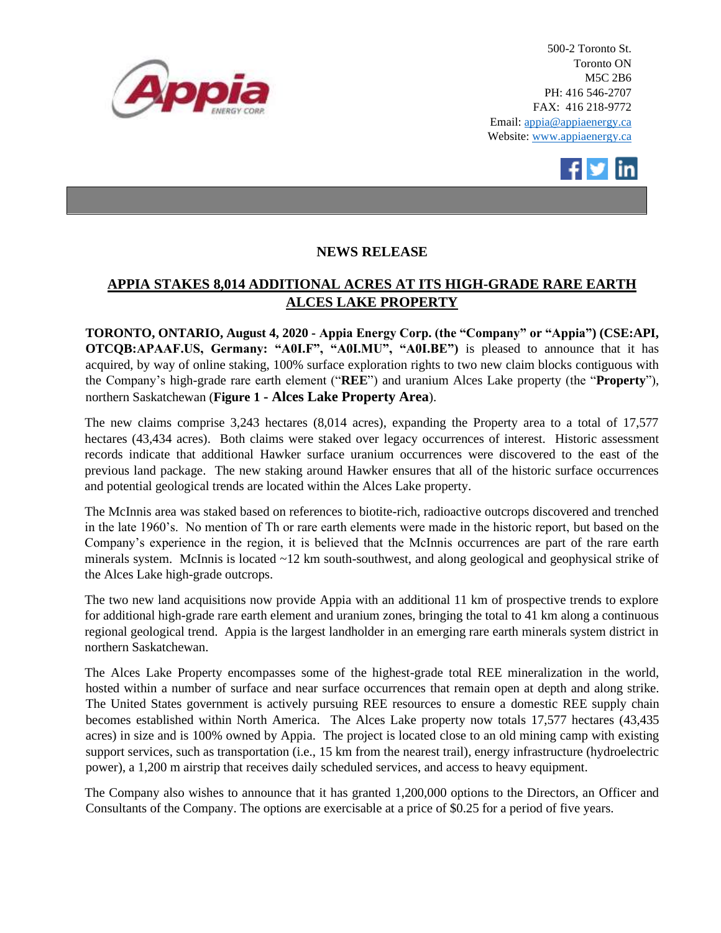

500-2 Toronto St. Toronto ON M5C 2B6 PH: 416 546-2707 FAX: 416 218-9772 Email: appia@appiaenergy.ca Website: www.appiaenergy.ca



## **NEWS RELEASE**

## **APPIA STAKES 8,014 ADDITIONAL ACRES AT ITS HIGH-GRADE RARE EARTH ALCES LAKE PROPERTY**

**TORONTO, ONTARIO, August 4, 2020 - Appia Energy Corp. (the "Company" or "Appia") (CSE:API, OTCQB:APAAF.US, Germany: "A0I.F", "A0I.MU", "A0I.BE")** is pleased to announce that it has acquired, by way of online staking, 100% surface exploration rights to two new claim blocks contiguous with the Company's high-grade rare earth element ("**REE**") and uranium Alces Lake property (the "**Property**"), northern Saskatchewan (**[Figure 1](#page-2-0) - [Alces Lake Property Area](#page-2-0)**).

The new claims comprise 3,243 hectares (8,014 acres), expanding the Property area to a total of 17,577 hectares (43,434 acres). Both claims were staked over legacy occurrences of interest. Historic assessment records indicate that additional Hawker surface uranium occurrences were discovered to the east of the previous land package. The new staking around Hawker ensures that all of the historic surface occurrences and potential geological trends are located within the Alces Lake property.

The McInnis area was staked based on references to biotite-rich, radioactive outcrops discovered and trenched in the late 1960's. No mention of Th or rare earth elements were made in the historic report, but based on the Company's experience in the region, it is believed that the McInnis occurrences are part of the rare earth minerals system. McInnis is located ~12 km south-southwest, and along geological and geophysical strike of the Alces Lake high-grade outcrops.

The two new land acquisitions now provide Appia with an additional 11 km of prospective trends to explore for additional high-grade rare earth element and uranium zones, bringing the total to 41 km along a continuous regional geological trend. Appia is the largest landholder in an emerging rare earth minerals system district in northern Saskatchewan.

The Alces Lake Property encompasses some of the highest-grade total REE mineralization in the world, hosted within a number of surface and near surface occurrences that remain open at depth and along strike. The United States government is actively pursuing REE resources to ensure a domestic REE supply chain becomes established within North America. The Alces Lake property now totals 17,577 hectares (43,435 acres) in size and is 100% owned by Appia. The project is located close to an old mining camp with existing support services, such as transportation (i.e., 15 km from the nearest trail), energy infrastructure (hydroelectric power), a 1,200 m airstrip that receives daily scheduled services, and access to heavy equipment.

The Company also wishes to announce that it has granted 1,200,000 options to the Directors, an Officer and Consultants of the Company. The options are exercisable at a price of \$0.25 for a period of five years.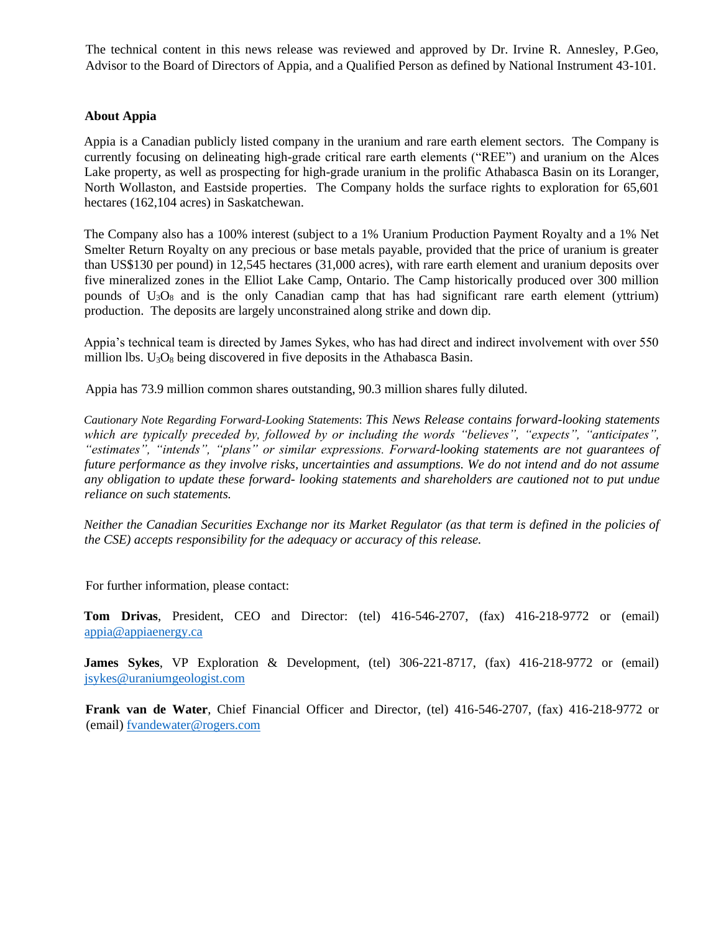The technical content in this news release was reviewed and approved by Dr. Irvine R. Annesley, P.Geo, Advisor to the Board of Directors of Appia, and a Qualified Person as defined by National Instrument 43-101.

## **About Appia**

Appia is a Canadian publicly listed company in the uranium and rare earth element sectors. The Company is currently focusing on delineating high-grade critical rare earth elements ("REE") and uranium on the Alces Lake property, as well as prospecting for high-grade uranium in the prolific Athabasca Basin on its Loranger, North Wollaston, and Eastside properties. The Company holds the surface rights to exploration for 65,601 hectares (162,104 acres) in Saskatchewan.

The Company also has a 100% interest (subject to a 1% Uranium Production Payment Royalty and a 1% Net Smelter Return Royalty on any precious or base metals payable, provided that the price of uranium is greater than US\$130 per pound) in 12,545 hectares (31,000 acres), with rare earth element and uranium deposits over five mineralized zones in the Elliot Lake Camp, Ontario. The Camp historically produced over 300 million pounds of  $U_3O_8$  and is the only Canadian camp that has had significant rare earth element (yttrium) production. The deposits are largely unconstrained along strike and down dip.

Appia's technical team is directed by James Sykes, who has had direct and indirect involvement with over 550 million lbs.  $U_3O_8$  being discovered in five deposits in the Athabasca Basin.

Appia has 73.9 million common shares outstanding, 90.3 million shares fully diluted.

*Cautionary Note Regarding Forward-Looking Statements*: *This News Release contains forward-looking statements which are typically preceded by, followed by or including the words "believes", "expects", "anticipates", "estimates", "intends", "plans" or similar expressions. Forward-looking statements are not guarantees of future performance as they involve risks, uncertainties and assumptions. We do not intend and do not assume any obligation to update these forward- looking statements and shareholders are cautioned not to put undue reliance on such statements.* 

*Neither the Canadian Securities Exchange nor its Market Regulator (as that term is defined in the policies of the CSE) accepts responsibility for the adequacy or accuracy of this release.*

For further information, please contact:

**Tom Drivas**, President, CEO and Director: (tel) 416-546-2707, (fax) 416-218-9772 or (email) [appia@appiaenergy.ca](mailto:appia@appiaenergy.ca) 

**James Sykes**, VP Exploration & Development, (tel) 306-221-8717, (fax) 416-218-9772 or (email) [jsykes@uraniumgeologist.com](mailto:jsykes@uraniumgeologist.com) 

**Frank van de Water**, Chief Financial Officer and Director, (tel) 416-546-2707, (fax) 416-218-9772 or (email) [fvandewater@rogers.com](mailto:fvandewater@rogers.com)